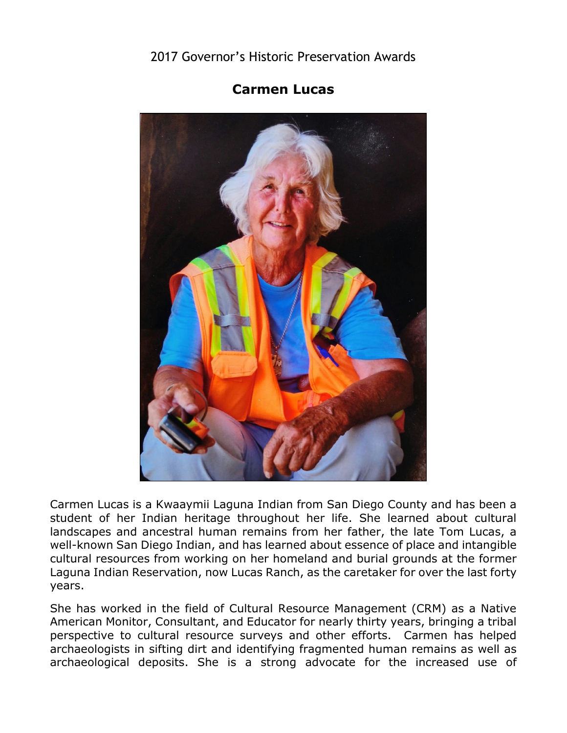## 2017 Governor's Historic Preservation Awards



## **Carmen Lucas**

 Carmen Lucas is a Kwaaymii Laguna Indian from San Diego County and has been a student of her Indian heritage throughout her life. She learned about cultural landscapes and ancestral human remains from her father, the late Tom Lucas, a well-known San Diego Indian, and has learned about essence of place and intangible cultural resources from working on her homeland and burial grounds at the former Laguna Indian Reservation, now Lucas Ranch, as the caretaker for over the last forty years.

 perspective to cultural resource surveys and other efforts. Carmen has helped She has worked in the field of Cultural Resource Management (CRM) as a Native American Monitor, Consultant, and Educator for nearly thirty years, bringing a tribal archaeologists in sifting dirt and identifying fragmented human remains as well as archaeological deposits. She is a strong advocate for the increased use of